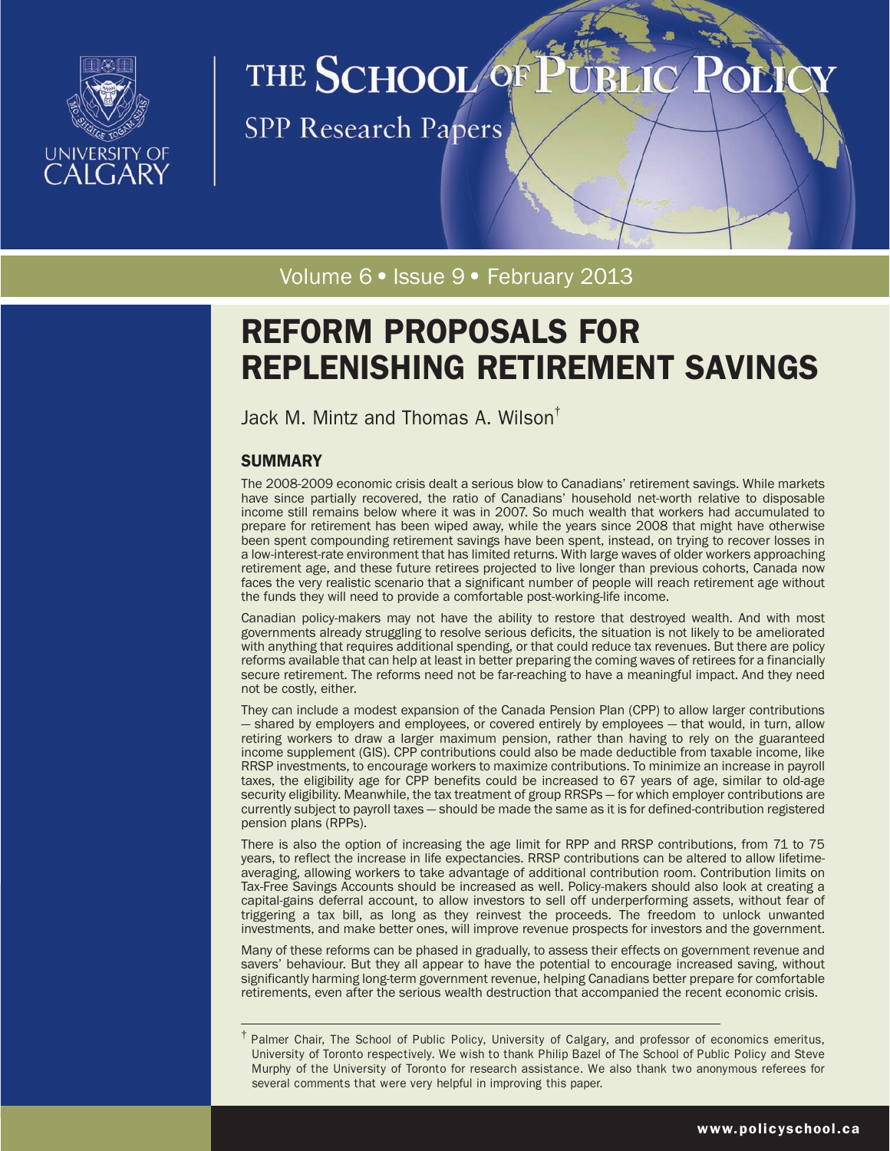

# THE SCHOOL OF

**SPP Research Papers** 

Volume 6 · Issue 9 · February 2013

# REFORM PROPOSALS FOR REPLENISHING RETIREMENT SAVINGS

Jack M. Mintz and Thomas A. Wilson†

# SUMMARY

The 2008-2009 economic crisis dealt a serious blow to Canadians' retirement savings. While markets have since partially recovered, the ratio of Canadians' household net-worth relative to disposable income still remains below where it was in 2007. So much wealth that workers had accumulated to prepare for retirement has been wiped away, while the years since 2008 that might have otherwise been spent compounding retirement savings have been spent, instead, on trying to recover losses in a low-interest-rate environment that has limited returns. With large waves of older workers approaching retirement age, and these future retirees projected to live longer than previous cohorts, Canada now faces the very realistic scenario that a significant number of people will reach retirement age without the funds they will need to provide a comfortable post-working-life income.

Canadian policy-makers may not have the ability to restore that destroyed wealth. And with most governments already struggling to resolve serious deficits, the situation is not likely to be ameliorated with anything that requires additional spending, or that could reduce tax revenues. But there are policy reforms available that can help at least in better preparing the coming waves of retirees for a financially secure retirement. The reforms need not be far-reaching to have a meaningful impact. And they need not be costly, either.

They can include a modest expansion of the Canada Pension Plan (CPP) to allow larger contributions — shared by employers and employees, or covered entirely by employees — that would, in turn, allow retiring workers to draw a larger maximum pension, rather than having to rely on the guaranteed income supplement (GIS). CPP contributions could also be made deductible from taxable income, like RRSP investments, to encourage workers to maximize contributions. To minimize an increase in payroll taxes, the eligibility age for CPP benefits could be increased to 67 years of age, similar to old-age security eligibility. Meanwhile, the tax treatment of group RRSPs — for which employer contributions are currently subject to payroll taxes — should be made the same as it is for defined-contribution registered pension plans (RPPs).

There is also the option of increasing the age limit for RPP and RRSP contributions, from 71 to 75 years, to reflect the increase in life expectancies. RRSP contributions can be altered to allow lifetimeaveraging, allowing workers to take advantage of additional contribution room. Contribution limits on Tax-Free Savings Accounts should be increased as well. Policy-makers should also look at creating a capital-gains deferral account, to allow investors to sell off underperforming assets, without fear of triggering a tax bill, as long as they reinvest the proceeds. The freedom to unlock unwanted investments, and make better ones, will improve revenue prospects for investors and the government.

Many of these reforms can be phased in gradually, to assess their effects on government revenue and savers' behaviour. But they all appear to have the potential to encourage increased saving, without significantly harming long-term government revenue, helping Canadians better prepare for comfortable retirements, even after the serious wealth destruction that accompanied the recent economic crisis.

Palmer Chair, The School of Public Policy, University of Calgary, and professor of economics emeritus, University of Toronto respectively. We wish to thank Philip Bazel of The School of Public Policy and Steve Murphy of the University of Toronto for research assistance. We also thank two anonymous referees for several comments that were very helpful in improving this paper.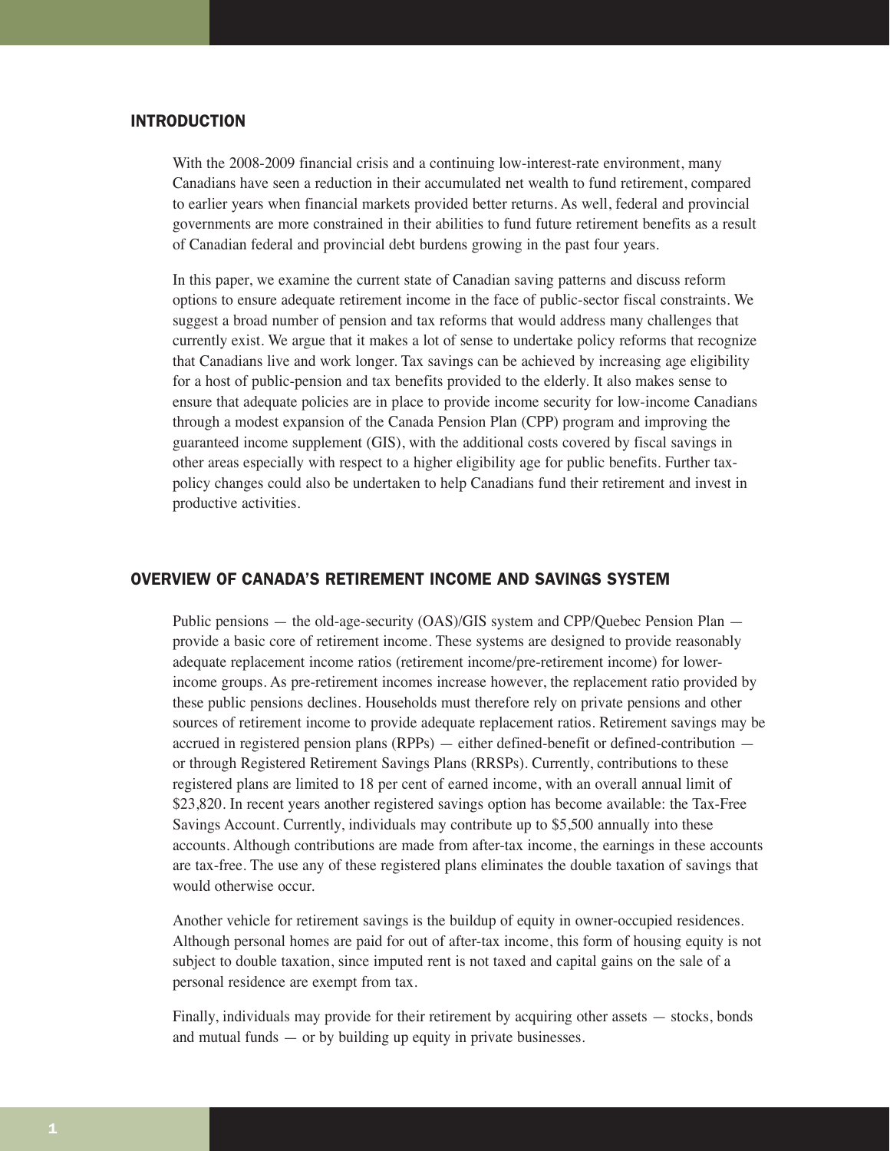# INTRODUCTION

With the 2008-2009 financial crisis and a continuing low-interest-rate environment, many Canadians have seen a reduction in their accumulated net wealth to fund retirement, compared to earlier years when financial markets provided better returns. As well, federal and provincial governments are more constrained in their abilities to fund future retirement benefits as a result of Canadian federal and provincial debt burdens growing in the past four years.

In this paper, we examine the current state of Canadian saving patterns and discuss reform options to ensure adequate retirement income in the face of public-sector fiscal constraints. We suggest a broad number of pension and tax reforms that would address many challenges that currently exist. We argue that it makes a lot of sense to undertake policy reforms that recognize that Canadians live and work longer. Tax savings can be achieved by increasing age eligibility for a host of public-pension and tax benefits provided to the elderly. It also makes sense to ensure that adequate policies are in place to provide income security for low-income Canadians through a modest expansion of the Canada Pension Plan (CPP) program and improving the guaranteed income supplement (GIS), with the additional costs covered by fiscal savings in other areas especially with respect to a higher eligibility age for public benefits. Further taxpolicy changes could also be undertaken to help Canadians fund their retirement and invest in productive activities.

# OVERVIEW OF CANADA'S RETIREMENT INCOME AND SAVINGS SYSTEM

Public pensions — the old-age-security (OAS)/GIS system and CPP/Quebec Pension Plan provide a basic core of retirement income. These systems are designed to provide reasonably adequate replacement income ratios (retirement income/pre-retirement income) for lowerincome groups. As pre-retirement incomes increase however, the replacement ratio provided by these public pensions declines. Households must therefore rely on private pensions and other sources of retirement income to provide adequate replacement ratios. Retirement savings may be accrued in registered pension plans  $(RPPs)$  — either defined-benefit or defined-contribution or through Registered Retirement Savings Plans (RRSPs). Currently, contributions to these registered plans are limited to 18 per cent of earned income, with an overall annual limit of \$23,820. In recent years another registered savings option has become available: the Tax-Free Savings Account. Currently, individuals may contribute up to \$5,500 annually into these accounts. Although contributions are made from after-tax income, the earnings in these accounts are tax-free. The use any of these registered plans eliminates the double taxation of savings that would otherwise occur.

Another vehicle for retirement savings is the buildup of equity in owner-occupied residences. Although personal homes are paid for out of after-tax income, this form of housing equity is not subject to double taxation, since imputed rent is not taxed and capital gains on the sale of a personal residence are exempt from tax.

Finally, individuals may provide for their retirement by acquiring other assets — stocks, bonds and mutual funds — or by building up equity in private businesses.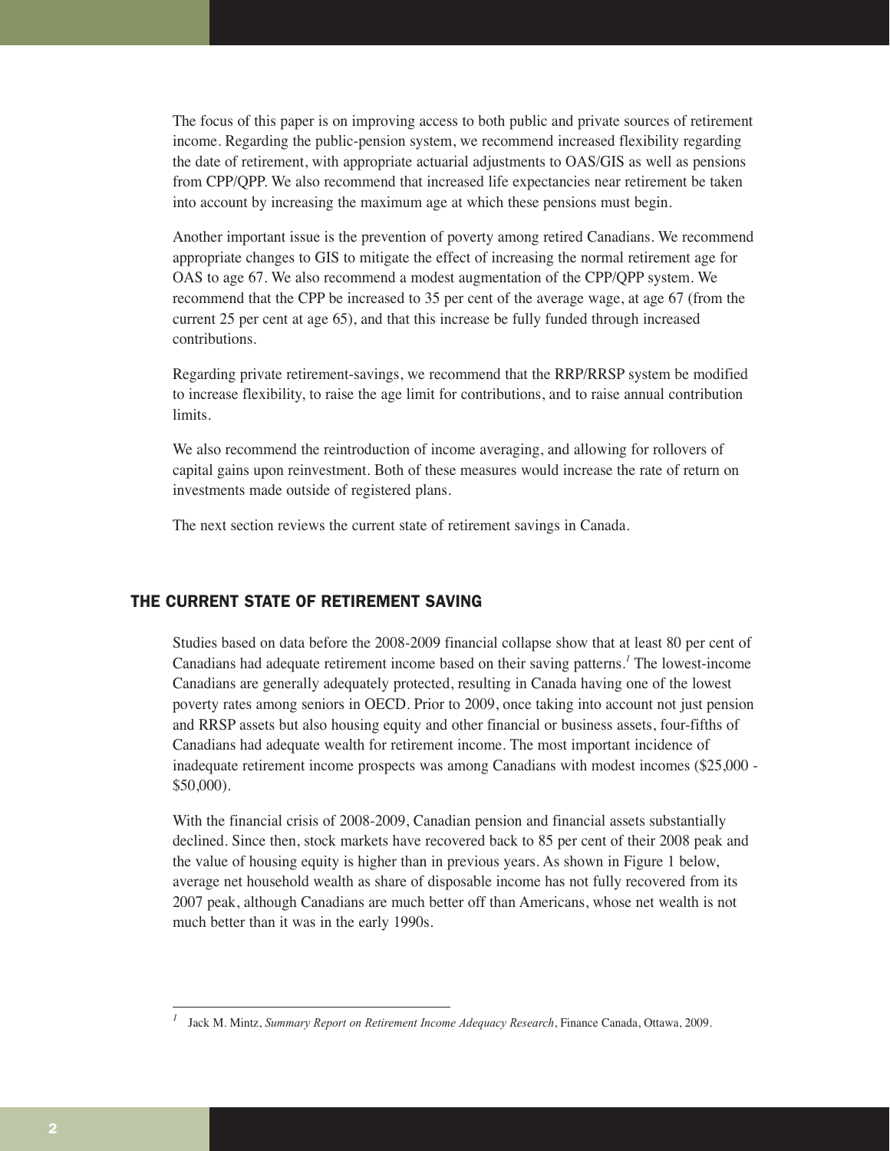The focus of this paper is on improving access to both public and private sources of retirement income. Regarding the public-pension system, we recommend increased flexibility regarding the date of retirement, with appropriate actuarial adjustments to OAS/GIS as well as pensions from CPP/QPP. We also recommend that increased life expectancies near retirement be taken into account by increasing the maximum age at which these pensions must begin.

Another important issue is the prevention of poverty among retired Canadians. We recommend appropriate changes to GIS to mitigate the effect of increasing the normal retirement age for OAS to age 67. We also recommend a modest augmentation of the CPP/QPP system. We recommend that the CPP be increased to 35 per cent of the average wage, at age 67 (from the current 25 per cent at age 65), and that this increase be fully funded through increased contributions.

Regarding private retirement-savings, we recommend that the RRP/RRSP system be modified to increase flexibility, to raise the age limit for contributions, and to raise annual contribution limits.

We also recommend the reintroduction of income averaging, and allowing for rollovers of capital gains upon reinvestment. Both of these measures would increase the rate of return on investments made outside of registered plans.

The next section reviews the current state of retirement savings in Canada.

# THE CURRENT STATE OF RETIREMENT SAVING

Studies based on data before the 2008-2009 financial collapse show that at least 80 per cent of Canadians had adequate retirement income based on their saving patterns.*<sup>1</sup>* The lowest-income Canadians are generally adequately protected, resulting in Canada having one of the lowest poverty rates among seniors in OECD. Prior to 2009, once taking into account not just pension and RRSP assets but also housing equity and other financial or business assets, four-fifths of Canadians had adequate wealth for retirement income. The most important incidence of inadequate retirement income prospects was among Canadians with modest incomes (\$25,000 - \$50,000).

With the financial crisis of 2008-2009, Canadian pension and financial assets substantially declined. Since then, stock markets have recovered back to 85 per cent of their 2008 peak and the value of housing equity is higher than in previous years. As shown in Figure 1 below, average net household wealth as share of disposable income has not fully recovered from its 2007 peak, although Canadians are much better off than Americans, whose net wealth is not much better than it was in the early 1990s.

*<sup>1</sup>* Jack M. Mintz, *Summary Report on Retirement Income Adequacy Research*, Finance Canada, Ottawa, 2009.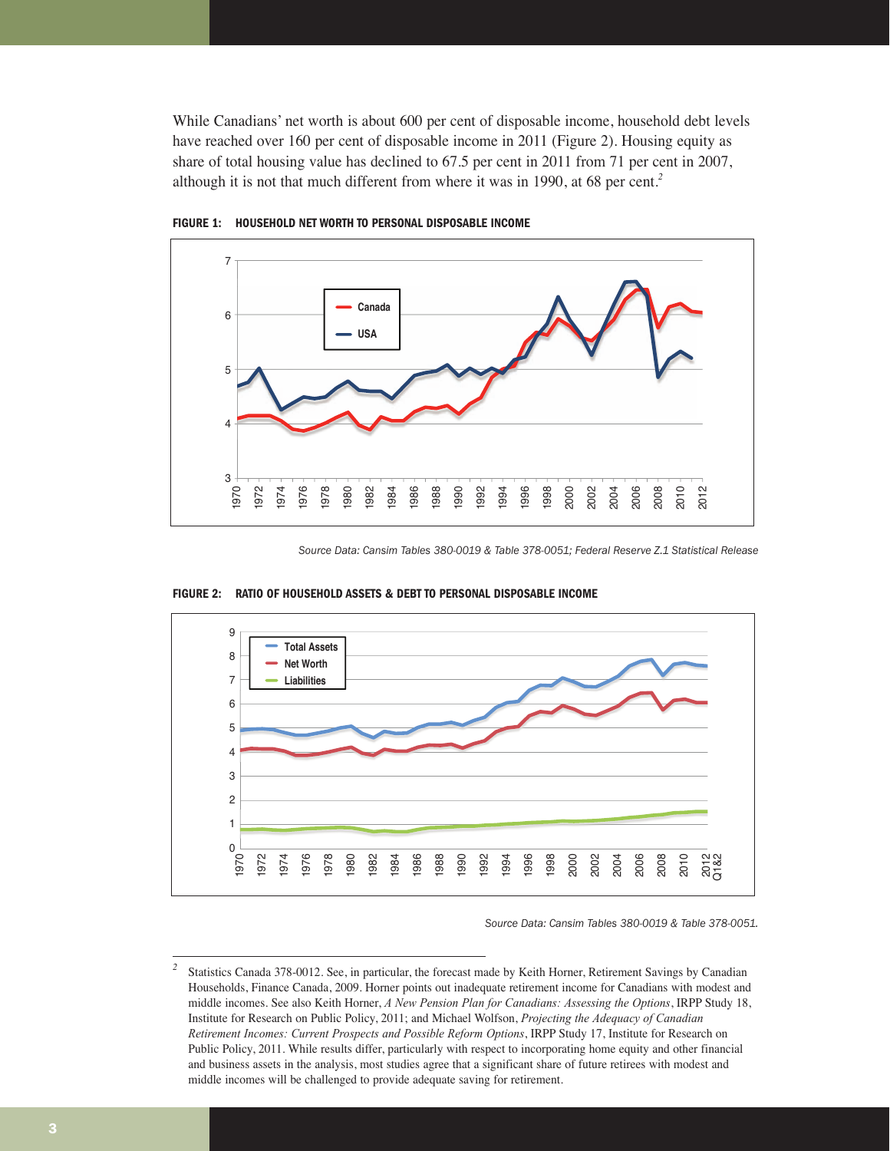While Canadians' net worth is about 600 per cent of disposable income, household debt levels have reached over 160 per cent of disposable income in 2011 (Figure 2). Housing equity as share of total housing value has declined to 67.5 per cent in 2011 from 71 per cent in 2007, although it is not that much different from where it was in 1990, at 68 per cent.*<sup>2</sup>*



**FIGURE 1: HOUSEHOLD NET WORTH TO PERSONAL DISPOSABLE INCOME**

*Source Data: Cansim Tables 380-0019 & Table 378-0051; Federal Reserve Z.1 Statistical Release*



**FIGURE 2: RATIO OF HOUSEHOLD ASSETS & DEBT TO PERSONAL DISPOSABLE INCOME**

*Source Data: Cansim Tables 380-0019 & Table 378-0051.*

<sup>&</sup>lt;sup>2</sup> Statistics Canada 378-0012. See, in particular, the forecast made by Keith Horner, Retirement Savings by Canadian Households, Finance Canada, 2009. Horner points out inadequate retirement income for Canadians with modest and middle incomes. See also Keith Horner, *A New Pension Plan for Canadians: Assessing the Options*, IRPP Study 18, Institute for Research on Public Policy, 2011; and Michael Wolfson, *Projecting the Adequacy of Canadian Retirement Incomes: Current Prospects and Possible Reform Options*, IRPP Study 17, Institute for Research on Public Policy, 2011. While results differ, particularly with respect to incorporating home equity and other financial and business assets in the analysis, most studies agree that a significant share of future retirees with modest and middle incomes will be challenged to provide adequate saving for retirement.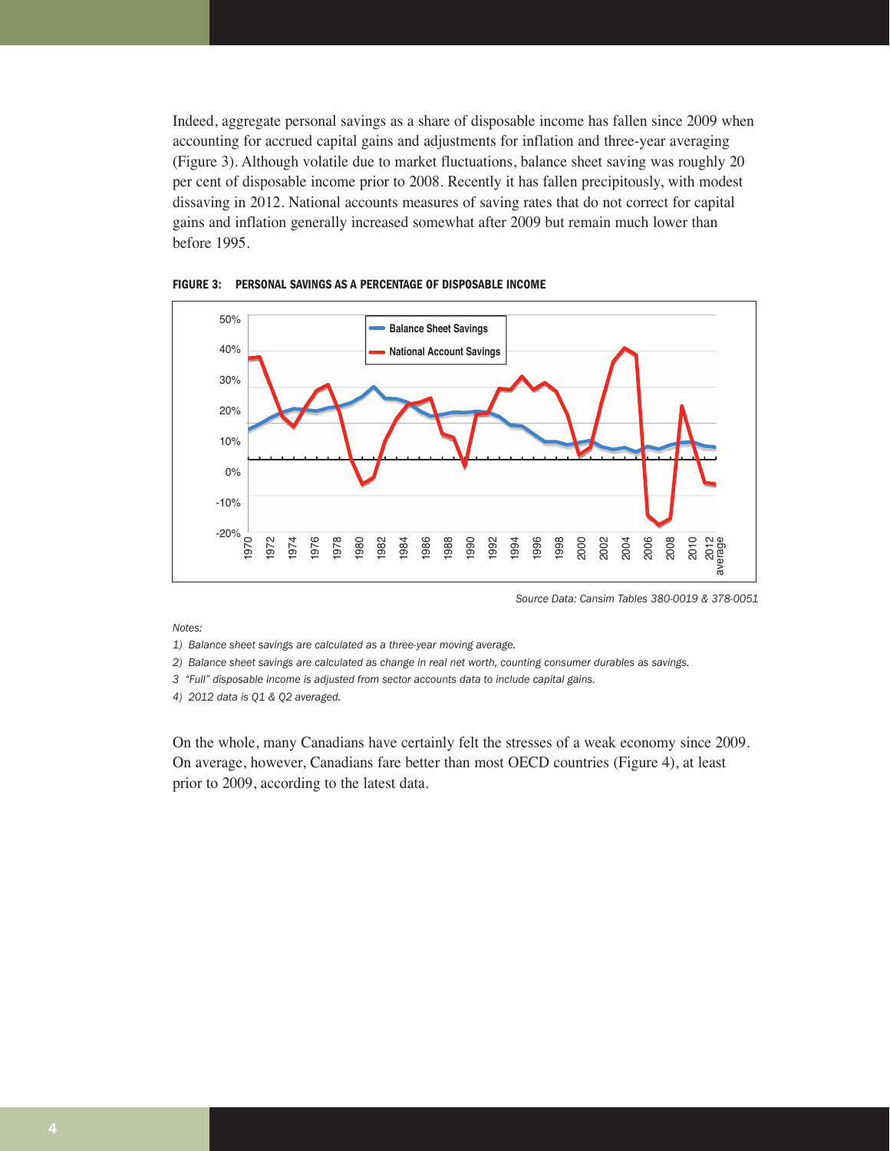Indeed, aggregate personal savings as a share of disposable income has fallen since 2009 when accounting for accrued capital gains and adjustments for inflation and three-year averaging (Figure 3). Although volatile due to market fluctuations, balance sheet saving was roughly 20 per cent of disposable income prior to 2008. Recently it has fallen precipitously, with modest dissaving in 2012. National accounts measures of saving rates that do not correct for capital gains and inflation generally increased somewhat after 2009 but remain much lower than before 1995.



**FIGURE 3: PERSONAL SAVINGS AS A PERCENTAGE OF DISPOSABLE INCOME** 

*Source Data: Cansim Tables 380-0019 & 378-0051* 

*Notes:*

*1) Balance sheet savings are calculated as a three-year moving average.*

*2) Balance sheet savings are calculated as change in real net worth, counting consumer durables as savings.*

*3 "Full" disposable income is adjusted from sector accounts data to include capital gains.* 

*4) 2012 data is Q1 & Q2 averaged.*

On the whole, many Canadians have certainly felt the stresses of a weak economy since 2009. On average, however, Canadians fare better than most OECD countries (Figure 4), at least prior to 2009, according to the latest data.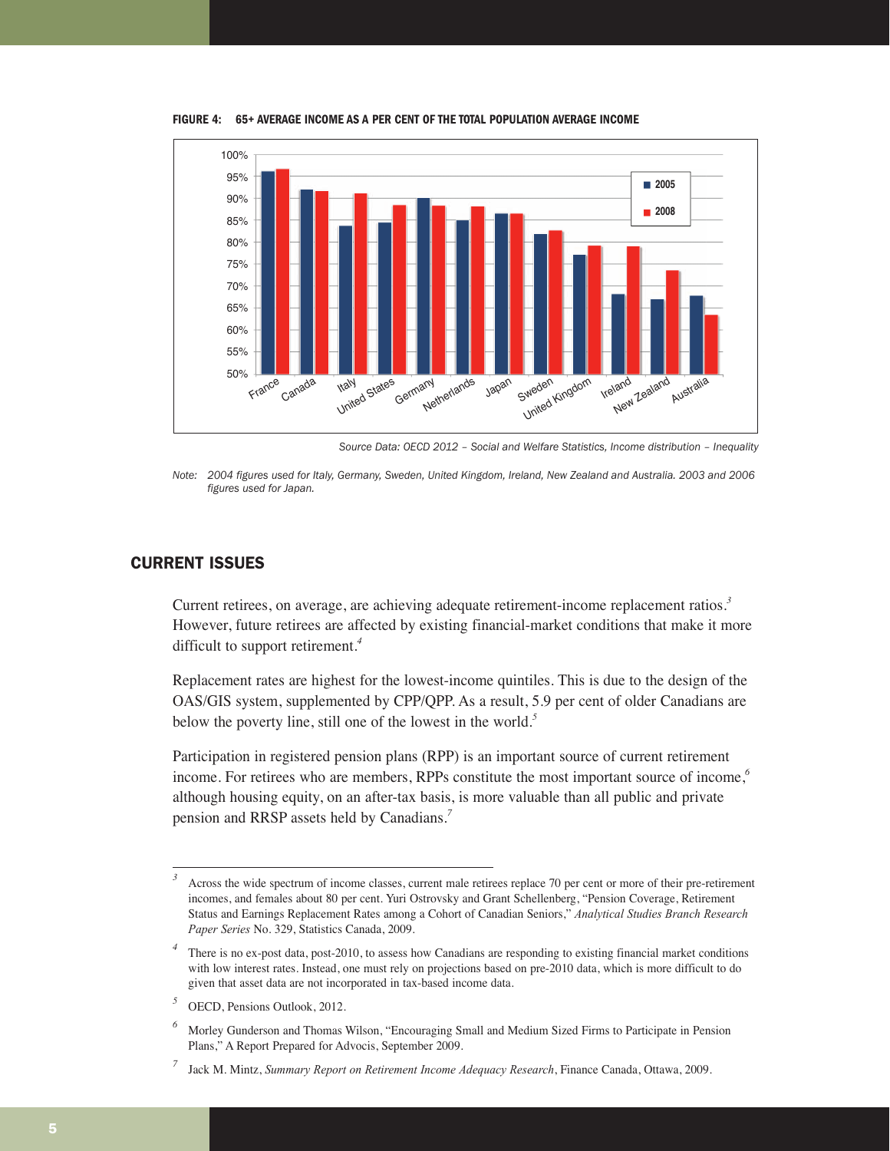

**FIGURE 4: 65+ AVERAGE INCOME AS A PER CENT OF THE TOTAL POPULATION AVERAGE INCOME** 

*Source Data: OECD 2012 – Social and Welfare Statistics, Income distribution – Inequality*

*Note: 2004 figures used for Italy, Germany, Sweden, United Kingdom, Ireland, New Zealand and Australia. 2003 and 2006 figures used for Japan.* 

# CURRENT ISSUES

Current retirees, on average, are achieving adequate retirement-income replacement ratios.*<sup>3</sup>* However, future retirees are affected by existing financial-market conditions that make it more difficult to support retirement.*<sup>4</sup>*

Replacement rates are highest for the lowest-income quintiles. This is due to the design of the OAS/GIS system, supplemented by CPP/QPP. As a result, 5.9 per cent of older Canadians are below the poverty line, still one of the lowest in the world.*<sup>5</sup>*

Participation in registered pension plans (RPP) is an important source of current retirement income. For retirees who are members, RPPs constitute the most important source of income,*<sup>6</sup>* although housing equity, on an after-tax basis, is more valuable than all public and private pension and RRSP assets held by Canadians.*<sup>7</sup>*

<sup>&</sup>lt;sup>3</sup> Across the wide spectrum of income classes, current male retirees replace 70 per cent or more of their pre-retirement incomes, and females about 80 per cent. Yuri Ostrovsky and Grant Schellenberg, "Pension Coverage, Retirement Status and Earnings Replacement Rates among a Cohort of Canadian Seniors," *Analytical Studies Branch Research Paper Series* No. 329, Statistics Canada, 2009.

There is no ex-post data, post-2010, to assess how Canadians are responding to existing financial market conditions with low interest rates. Instead, one must rely on projections based on pre-2010 data, which is more difficult to do given that asset data are not incorporated in tax-based income data.

*<sup>5</sup>* OECD, Pensions Outlook, 2012.

*<sup>6</sup>* Morley Gunderson and Thomas Wilson, "Encouraging Small and Medium Sized Firms to Participate in Pension Plans," A Report Prepared for Advocis, September 2009.

*<sup>7</sup>* Jack M. Mintz, *Summary Report on Retirement Income Adequacy Research*, Finance Canada, Ottawa, 2009.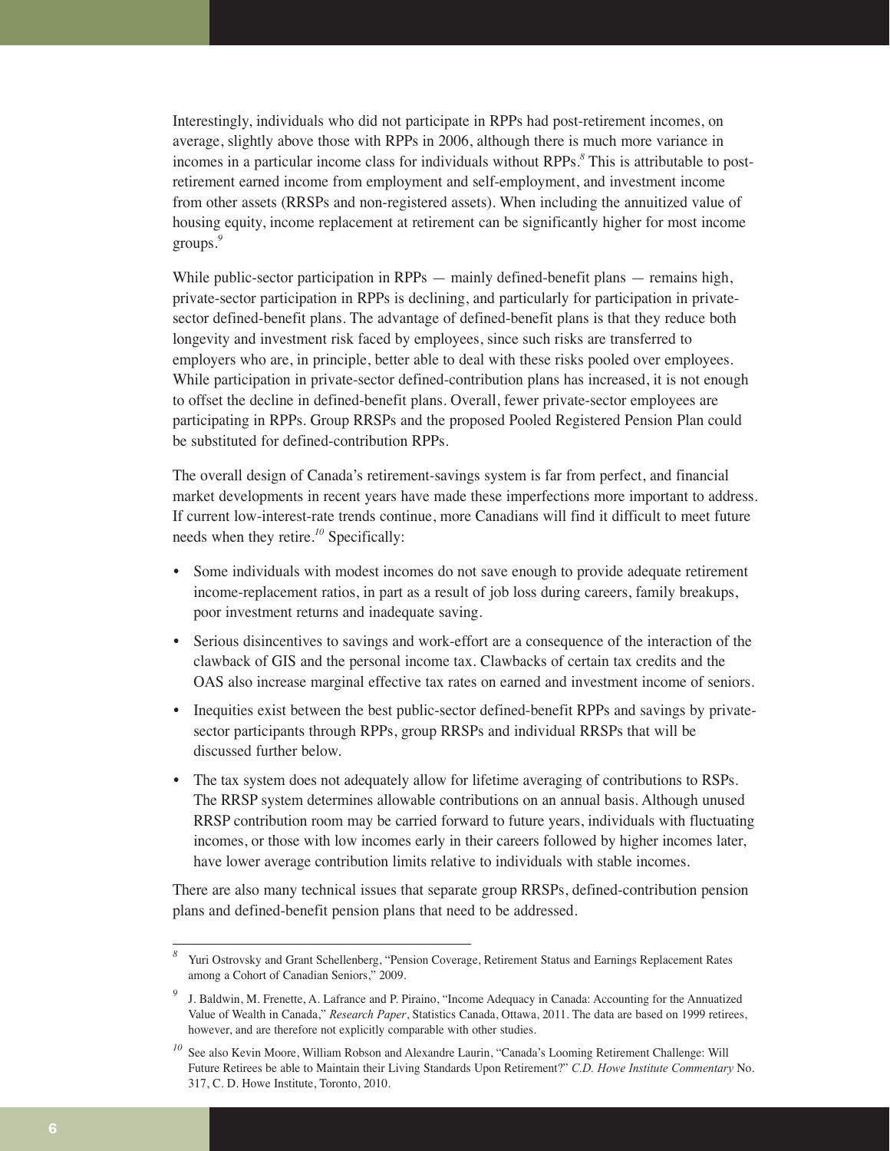Interestingly, individuals who did not participate in RPPs had post-retirement incomes, on average, slightly above those with RPPs in 2006, although there is much more variance in incomes in a particular income class for individuals without RPPs.*<sup>8</sup>* This is attributable to postretirement earned income from employment and self-employment, and investment income from other assets (RRSPs and non-registered assets). When including the annuitized value of housing equity, income replacement at retirement can be significantly higher for most income groups.*<sup>9</sup>*

While public-sector participation in RPPs — mainly defined-benefit plans — remains high, private-sector participation in RPPs is declining, and particularly for participation in privatesector defined-benefit plans. The advantage of defined-benefit plans is that they reduce both longevity and investment risk faced by employees, since such risks are transferred to employers who are, in principle, better able to deal with these risks pooled over employees. While participation in private-sector defined-contribution plans has increased, it is not enough to offset the decline in defined-benefit plans. Overall, fewer private-sector employees are participating in RPPs. Group RRSPs and the proposed Pooled Registered Pension Plan could be substituted for defined-contribution RPPs.

The overall design of Canada's retirement-savings system is far from perfect, and financial market developments in recent years have made these imperfections more important to address. If current low-interest-rate trends continue, more Canadians will find it difficult to meet future needs when they retire.*<sup>10</sup>* Specifically:

- Some individuals with modest incomes do not save enough to provide adequate retirement income-replacement ratios, in part as a result of job loss during careers, family breakups, poor investment returns and inadequate saving.
- Serious disincentives to savings and work-effort are a consequence of the interaction of the clawback of GIS and the personal income tax. Clawbacks of certain tax credits and the OAS also increase marginal effective tax rates on earned and investment income of seniors.
- Inequities exist between the best public-sector defined-benefit RPPs and savings by privatesector participants through RPPs, group RRSPs and individual RRSPs that will be discussed further below.
- The tax system does not adequately allow for lifetime averaging of contributions to RSPs. The RRSP system determines allowable contributions on an annual basis. Although unused RRSP contribution room may be carried forward to future years, individuals with fluctuating incomes, or those with low incomes early in their careers followed by higher incomes later, have lower average contribution limits relative to individuals with stable incomes.

There are also many technical issues that separate group RRSPs, defined-contribution pension plans and defined-benefit pension plans that need to be addressed.

*<sup>8</sup>* Yuri Ostrovsky and Grant Schellenberg, "Pension Coverage, Retirement Status and Earnings Replacement Rates among a Cohort of Canadian Seniors," 2009.

*<sup>9</sup>* J. Baldwin, M. Frenette, A. Lafrance and P. Piraino, "Income Adequacy in Canada: Accounting for the Annuatized Value of Wealth in Canada," *Research Paper*, Statistics Canada, Ottawa, 2011. The data are based on 1999 retirees, however, and are therefore not explicitly comparable with other studies.

<sup>&</sup>lt;sup>10</sup> See also Kevin Moore, William Robson and Alexandre Laurin, "Canada's Looming Retirement Challenge: Will Future Retirees be able to Maintain their Living Standards Upon Retirement?" *C.D. Howe Institute Commentary* No. 317, C. D. Howe Institute, Toronto, 2010.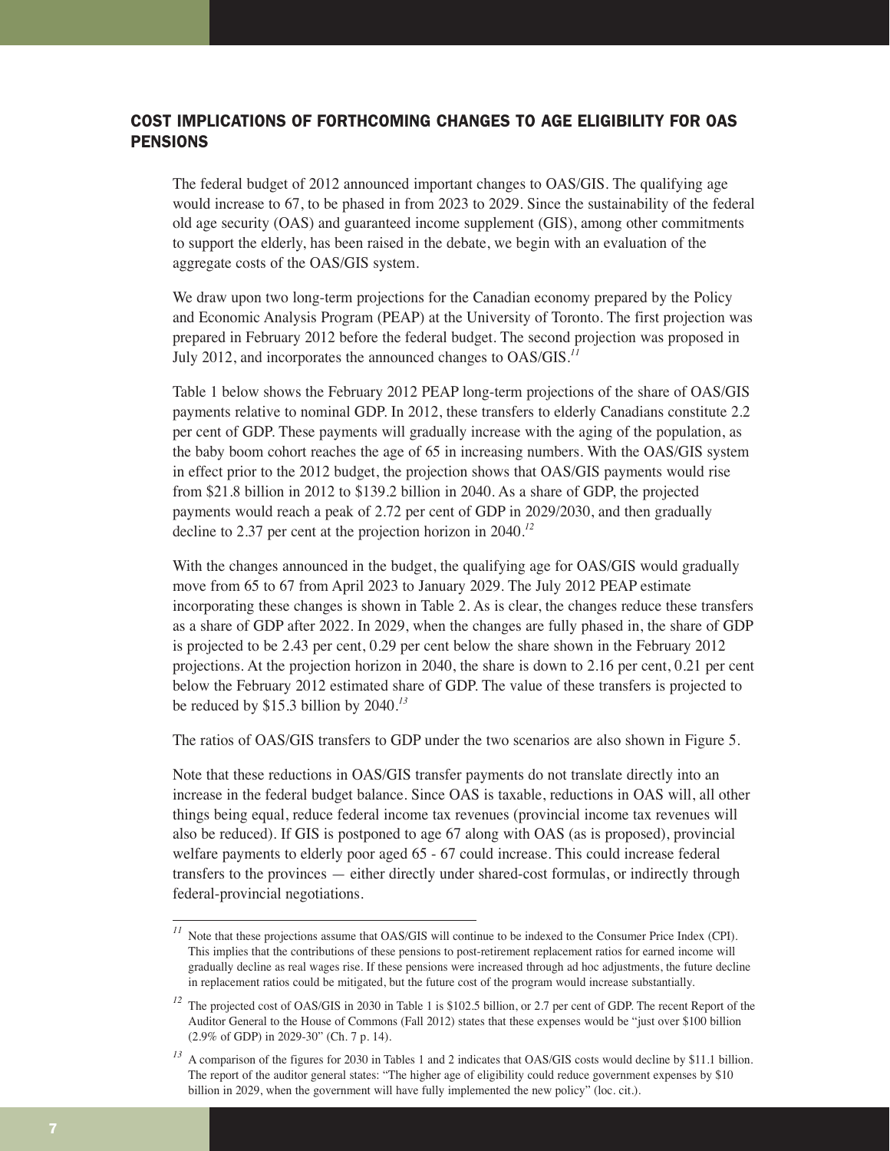# COST IMPLICATIONS OF FORTHCOMING CHANGES TO AGE ELIGIBILITY FOR OAS **PENSIONS**

The federal budget of 2012 announced important changes to OAS/GIS. The qualifying age would increase to 67, to be phased in from 2023 to 2029. Since the sustainability of the federal old age security (OAS) and guaranteed income supplement (GIS), among other commitments to support the elderly, has been raised in the debate, we begin with an evaluation of the aggregate costs of the OAS/GIS system.

We draw upon two long-term projections for the Canadian economy prepared by the Policy and Economic Analysis Program (PEAP) at the University of Toronto. The first projection was prepared in February 2012 before the federal budget. The second projection was proposed in July 2012, and incorporates the announced changes to OAS/GIS.*<sup>11</sup>*

Table 1 below shows the February 2012 PEAP long-term projections of the share of OAS/GIS payments relative to nominal GDP. In 2012, these transfers to elderly Canadians constitute 2.2 per cent of GDP. These payments will gradually increase with the aging of the population, as the baby boom cohort reaches the age of 65 in increasing numbers. With the OAS/GIS system in effect prior to the 2012 budget, the projection shows that OAS/GIS payments would rise from \$21.8 billion in 2012 to \$139.2 billion in 2040. As a share of GDP, the projected payments would reach a peak of 2.72 per cent of GDP in 2029/2030, and then gradually decline to 2.37 per cent at the projection horizon in 2040.*<sup>12</sup>*

With the changes announced in the budget, the qualifying age for OAS/GIS would gradually move from 65 to 67 from April 2023 to January 2029. The July 2012 PEAP estimate incorporating these changes is shown in Table 2. As is clear, the changes reduce these transfers as a share of GDP after 2022. In 2029, when the changes are fully phased in, the share of GDP is projected to be 2.43 per cent, 0.29 per cent below the share shown in the February 2012 projections. At the projection horizon in 2040, the share is down to 2.16 per cent, 0.21 per cent below the February 2012 estimated share of GDP. The value of these transfers is projected to be reduced by \$15.3 billion by 2040.*<sup>13</sup>*

The ratios of OAS/GIS transfers to GDP under the two scenarios are also shown in Figure 5.

Note that these reductions in OAS/GIS transfer payments do not translate directly into an increase in the federal budget balance. Since OAS is taxable, reductions in OAS will, all other things being equal, reduce federal income tax revenues (provincial income tax revenues will also be reduced). If GIS is postponed to age 67 along with OAS (as is proposed), provincial welfare payments to elderly poor aged 65 - 67 could increase. This could increase federal transfers to the provinces — either directly under shared-cost formulas, or indirectly through federal-provincial negotiations.

<sup>&</sup>lt;sup>11</sup> Note that these projections assume that OAS/GIS will continue to be indexed to the Consumer Price Index (CPI). This implies that the contributions of these pensions to post-retirement replacement ratios for earned income will gradually decline as real wages rise. If these pensions were increased through ad hoc adjustments, the future decline in replacement ratios could be mitigated, but the future cost of the program would increase substantially.

<sup>&</sup>lt;sup>12</sup> The projected cost of OAS/GIS in 2030 in Table 1 is \$102.5 billion, or 2.7 per cent of GDP. The recent Report of the Auditor General to the House of Commons (Fall 2012) states that these expenses would be "just over \$100 billion (2.9% of GDP) in 2029-30" (Ch. 7 p. 14).

<sup>&</sup>lt;sup>13</sup> A comparison of the figures for 2030 in Tables 1 and 2 indicates that OAS/GIS costs would decline by \$11.1 billion. The report of the auditor general states: "The higher age of eligibility could reduce government expenses by \$10 billion in 2029, when the government will have fully implemented the new policy" (loc. cit.).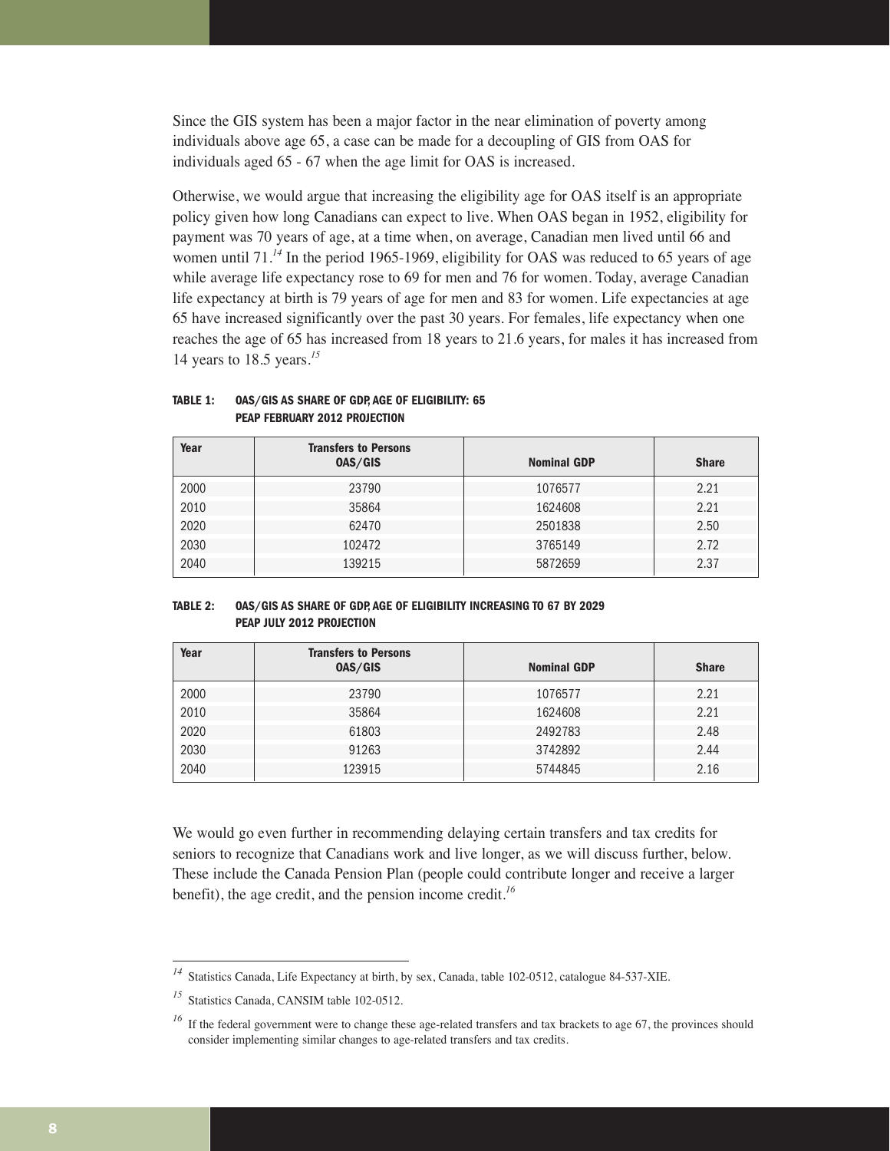Since the GIS system has been a major factor in the near elimination of poverty among individuals above age 65, a case can be made for a decoupling of GIS from OAS for individuals aged 65 - 67 when the age limit for OAS is increased.

Otherwise, we would argue that increasing the eligibility age for OAS itself is an appropriate policy given how long Canadians can expect to live. When OAS began in 1952, eligibility for payment was 70 years of age, at a time when, on average, Canadian men lived until 66 and women until 71.*<sup>14</sup>* In the period 1965-1969, eligibility for OAS was reduced to 65 years of age while average life expectancy rose to 69 for men and 76 for women. Today, average Canadian life expectancy at birth is 79 years of age for men and 83 for women. Life expectancies at age 65 have increased significantly over the past 30 years. For females, life expectancy when one reaches the age of 65 has increased from 18 years to 21.6 years, for males it has increased from 14 years to 18.5 years.*<sup>15</sup>*

#### **TABLE 1: OAS/GIS AS SHARE OF GDP, AGE OF ELIGIBILITY: 65 PEAP FEBRUARY 2012 PROJECTION**

| Year | <b>Transfers to Persons</b><br>0AS/GIS | <b>Nominal GDP</b> | <b>Share</b> |
|------|----------------------------------------|--------------------|--------------|
| 2000 | 23790                                  | 1076577            | 2.21         |
| 2010 | 35864                                  | 1624608            | 2.21         |
| 2020 | 62470                                  | 2501838            | 2.50         |
| 2030 | 102472                                 | 3765149            | 2.72         |
| 2040 | 139215                                 | 5872659            | 2.37         |

#### **TABLE 2: OAS/GIS AS SHARE OF GDP, AGE OF ELIGIBILITY INCREASING TO 67 BY 2029 PEAP JULY 2012 PROJECTION**

| Year | <b>Transfers to Persons</b><br>0AS/GIS | <b>Nominal GDP</b> | <b>Share</b> |
|------|----------------------------------------|--------------------|--------------|
| 2000 | 23790                                  | 1076577            | 2.21         |
| 2010 | 35864                                  | 1624608            | 2.21         |
| 2020 | 61803                                  | 2492783            | 2.48         |
| 2030 | 91263                                  | 3742892            | 2.44         |
| 2040 | 123915                                 | 5744845            | 2.16         |

We would go even further in recommending delaying certain transfers and tax credits for seniors to recognize that Canadians work and live longer, as we will discuss further, below. These include the Canada Pension Plan (people could contribute longer and receive a larger benefit), the age credit, and the pension income credit.*<sup>16</sup>*

*<sup>14</sup>* Statistics Canada, Life Expectancy at birth, by sex, Canada, table 102-0512, catalogue 84-537-XIE.

<sup>&</sup>lt;sup>15</sup> Statistics Canada, CANSIM table 102-0512.

<sup>&</sup>lt;sup>16</sup> If the federal government were to change these age-related transfers and tax brackets to age 67, the provinces should consider implementing similar changes to age-related transfers and tax credits.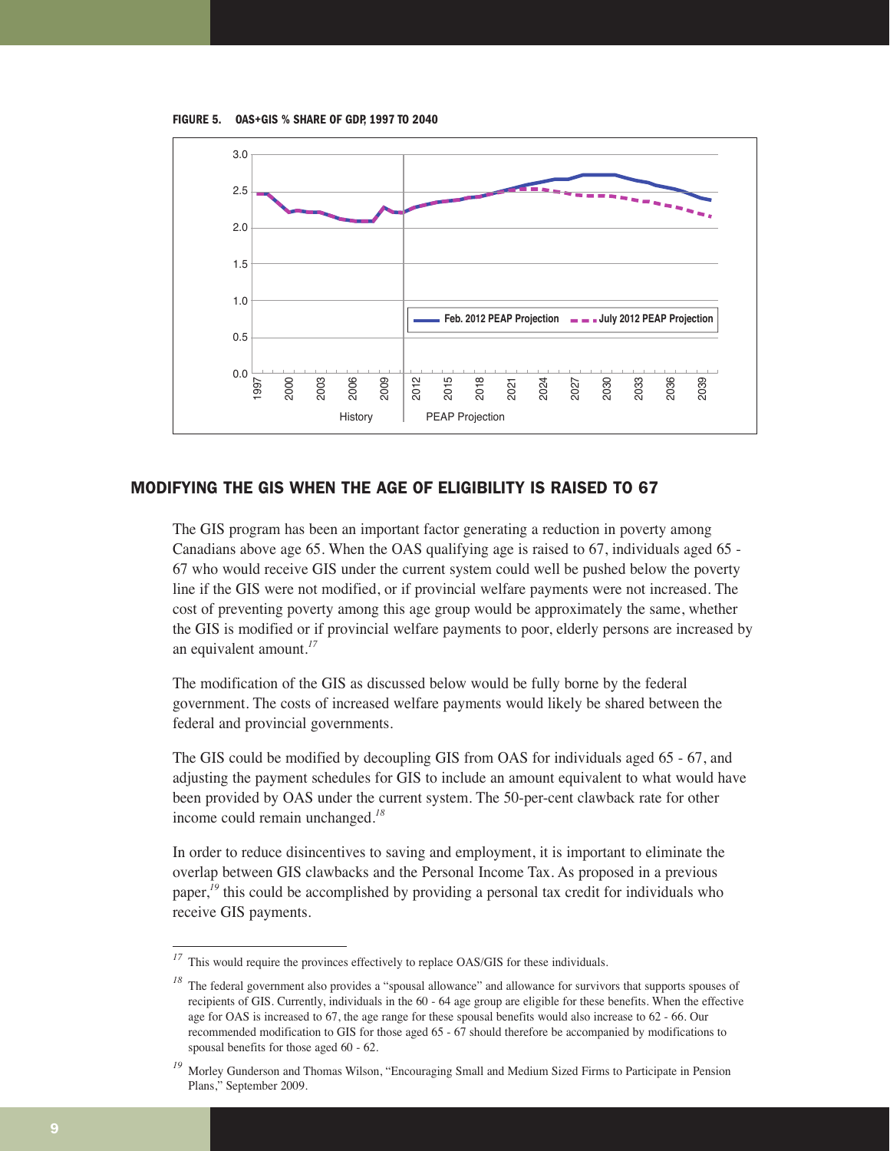**FIGURE 5. OAS+GIS % SHARE OF GDP, 1997 TO 2040**



# MODIFYING THE GIS WHEN THE AGE OF ELIGIBILITY IS RAISED TO 67

The GIS program has been an important factor generating a reduction in poverty among Canadians above age 65. When the OAS qualifying age is raised to 67, individuals aged 65 - 67 who would receive GIS under the current system could well be pushed below the poverty line if the GIS were not modified, or if provincial welfare payments were not increased. The cost of preventing poverty among this age group would be approximately the same, whether the GIS is modified or if provincial welfare payments to poor, elderly persons are increased by an equivalent amount.*<sup>17</sup>*

The modification of the GIS as discussed below would be fully borne by the federal government. The costs of increased welfare payments would likely be shared between the federal and provincial governments.

The GIS could be modified by decoupling GIS from OAS for individuals aged 65 - 67, and adjusting the payment schedules for GIS to include an amount equivalent to what would have been provided by OAS under the current system. The 50-per-cent clawback rate for other income could remain unchanged.*<sup>18</sup>*

In order to reduce disincentives to saving and employment, it is important to eliminate the overlap between GIS clawbacks and the Personal Income Tax. As proposed in a previous paper,*<sup>19</sup>* this could be accomplished by providing a personal tax credit for individuals who receive GIS payments.

<sup>&</sup>lt;sup>17</sup> This would require the provinces effectively to replace OAS/GIS for these individuals.

<sup>&</sup>lt;sup>18</sup> The federal government also provides a "spousal allowance" and allowance for survivors that supports spouses of recipients of GIS. Currently, individuals in the 60 - 64 age group are eligible for these benefits. When the effective age for OAS is increased to 67, the age range for these spousal benefits would also increase to 62 - 66. Our recommended modification to GIS for those aged 65 - 67 should therefore be accompanied by modifications to spousal benefits for those aged 60 - 62.

<sup>&</sup>lt;sup>19</sup> Morley Gunderson and Thomas Wilson, "Encouraging Small and Medium Sized Firms to Participate in Pension Plans," September 2009.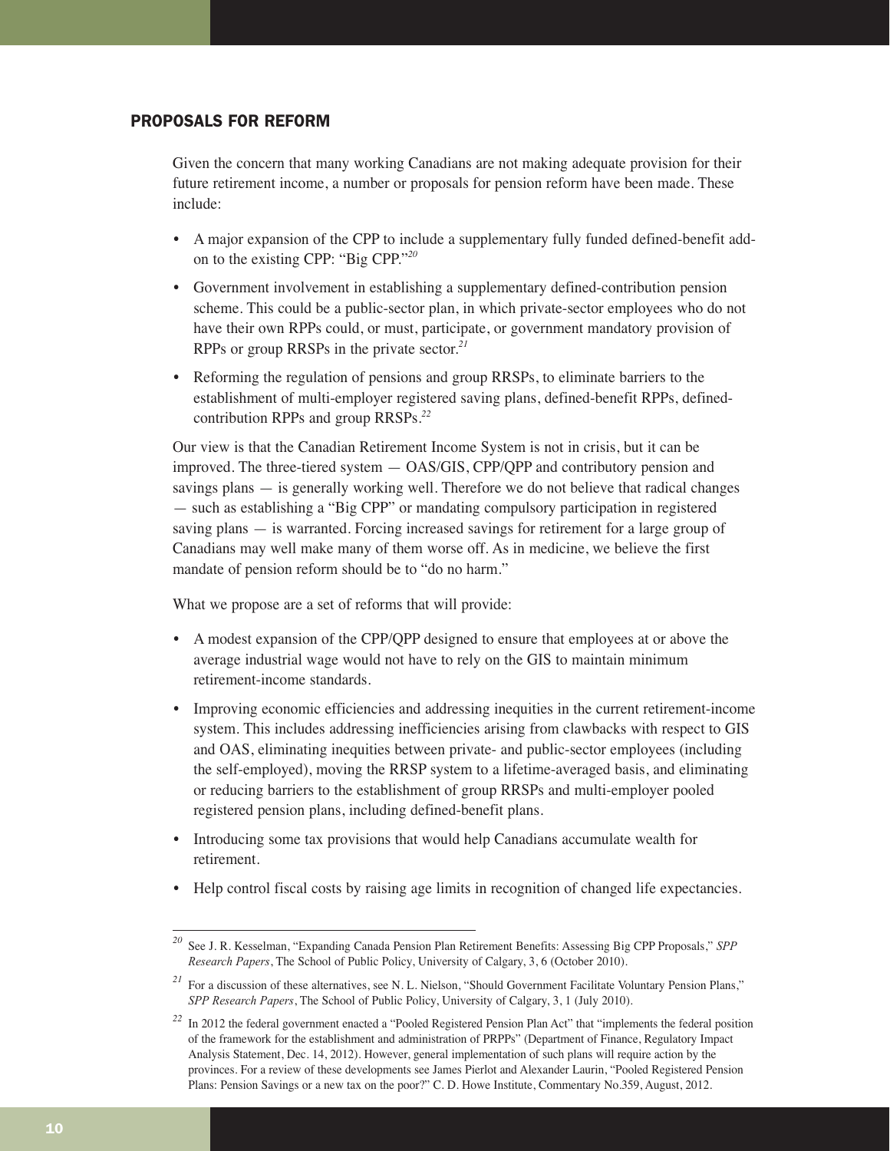# PROPOSALS FOR REFORM

Given the concern that many working Canadians are not making adequate provision for their future retirement income, a number or proposals for pension reform have been made. These include:

- A major expansion of the CPP to include a supplementary fully funded defined-benefit addon to the existing CPP: "Big CPP."*<sup>20</sup>*
- Government involvement in establishing a supplementary defined-contribution pension scheme. This could be a public-sector plan, in which private-sector employees who do not have their own RPPs could, or must, participate, or government mandatory provision of RPPs or group RRSPs in the private sector.*<sup>21</sup>*
- Reforming the regulation of pensions and group RRSPs, to eliminate barriers to the establishment of multi-employer registered saving plans, defined-benefit RPPs, definedcontribution RPPs and group RRSPs.*<sup>22</sup>*

Our view is that the Canadian Retirement Income System is not in crisis, but it can be improved. The three-tiered system — OAS/GIS, CPP/QPP and contributory pension and savings plans — is generally working well. Therefore we do not believe that radical changes — such as establishing a "Big CPP" or mandating compulsory participation in registered saving plans — is warranted. Forcing increased savings for retirement for a large group of Canadians may well make many of them worse off. As in medicine, we believe the first mandate of pension reform should be to "do no harm."

What we propose are a set of reforms that will provide:

- A modest expansion of the CPP/QPP designed to ensure that employees at or above the average industrial wage would not have to rely on the GIS to maintain minimum retirement-income standards.
- Improving economic efficiencies and addressing inequities in the current retirement-income system. This includes addressing inefficiencies arising from clawbacks with respect to GIS and OAS, eliminating inequities between private- and public-sector employees (including the self-employed), moving the RRSP system to a lifetime-averaged basis, and eliminating or reducing barriers to the establishment of group RRSPs and multi-employer pooled registered pension plans, including defined-benefit plans.
- Introducing some tax provisions that would help Canadians accumulate wealth for retirement.
- Help control fiscal costs by raising age limits in recognition of changed life expectancies.

*<sup>20</sup>* See J. R. Kesselman, "Expanding Canada Pension Plan Retirement Benefits: Assessing Big CPP Proposals," *SPP Research Papers*, The School of Public Policy, University of Calgary, 3, 6 (October 2010).

<sup>&</sup>lt;sup>21</sup> For a discussion of these alternatives, see N. L. Nielson, "Should Government Facilitate Voluntary Pension Plans," *SPP Research Papers*, The School of Public Policy, University of Calgary, 3, 1 (July 2010).

*<sup>22</sup>* In 2012 the federal government enacted a "Pooled Registered Pension Plan Act" that "implements the federal position of the framework for the establishment and administration of PRPPs" (Department of Finance, Regulatory Impact Analysis Statement, Dec. 14, 2012). However, general implementation of such plans will require action by the provinces. For a review of these developments see James Pierlot and Alexander Laurin, "Pooled Registered Pension Plans: Pension Savings or a new tax on the poor?" C. D. Howe Institute, Commentary No.359, August, 2012.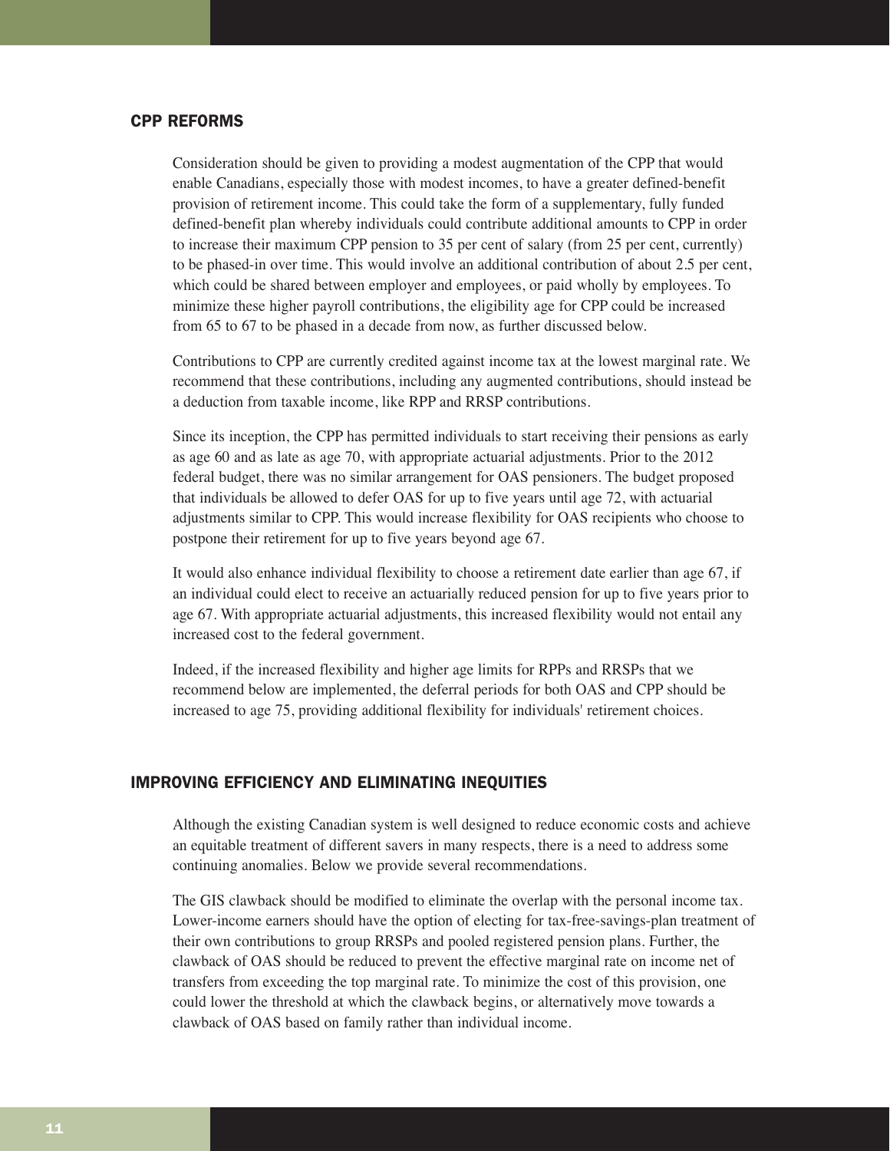## CPP REFORMS

Consideration should be given to providing a modest augmentation of the CPP that would enable Canadians, especially those with modest incomes, to have a greater defined-benefit provision of retirement income. This could take the form of a supplementary, fully funded defined-benefit plan whereby individuals could contribute additional amounts to CPP in order to increase their maximum CPP pension to 35 per cent of salary (from 25 per cent, currently) to be phased-in over time. This would involve an additional contribution of about 2.5 per cent, which could be shared between employer and employees, or paid wholly by employees. To minimize these higher payroll contributions, the eligibility age for CPP could be increased from 65 to 67 to be phased in a decade from now, as further discussed below.

Contributions to CPP are currently credited against income tax at the lowest marginal rate. We recommend that these contributions, including any augmented contributions, should instead be a deduction from taxable income, like RPP and RRSP contributions.

Since its inception, the CPP has permitted individuals to start receiving their pensions as early as age 60 and as late as age 70, with appropriate actuarial adjustments. Prior to the 2012 federal budget, there was no similar arrangement for OAS pensioners. The budget proposed that individuals be allowed to defer OAS for up to five years until age 72, with actuarial adjustments similar to CPP. This would increase flexibility for OAS recipients who choose to postpone their retirement for up to five years beyond age 67.

It would also enhance individual flexibility to choose a retirement date earlier than age 67, if an individual could elect to receive an actuarially reduced pension for up to five years prior to age 67. With appropriate actuarial adjustments, this increased flexibility would not entail any increased cost to the federal government.

Indeed, if the increased flexibility and higher age limits for RPPs and RRSPs that we recommend below are implemented, the deferral periods for both OAS and CPP should be increased to age 75, providing additional flexibility for individuals' retirement choices.

#### IMPROVING EFFICIENCY AND ELIMINATING INEQUITIES

Although the existing Canadian system is well designed to reduce economic costs and achieve an equitable treatment of different savers in many respects, there is a need to address some continuing anomalies. Below we provide several recommendations.

The GIS clawback should be modified to eliminate the overlap with the personal income tax. Lower-income earners should have the option of electing for tax-free-savings-plan treatment of their own contributions to group RRSPs and pooled registered pension plans. Further, the clawback of OAS should be reduced to prevent the effective marginal rate on income net of transfers from exceeding the top marginal rate. To minimize the cost of this provision, one could lower the threshold at which the clawback begins, or alternatively move towards a clawback of OAS based on family rather than individual income.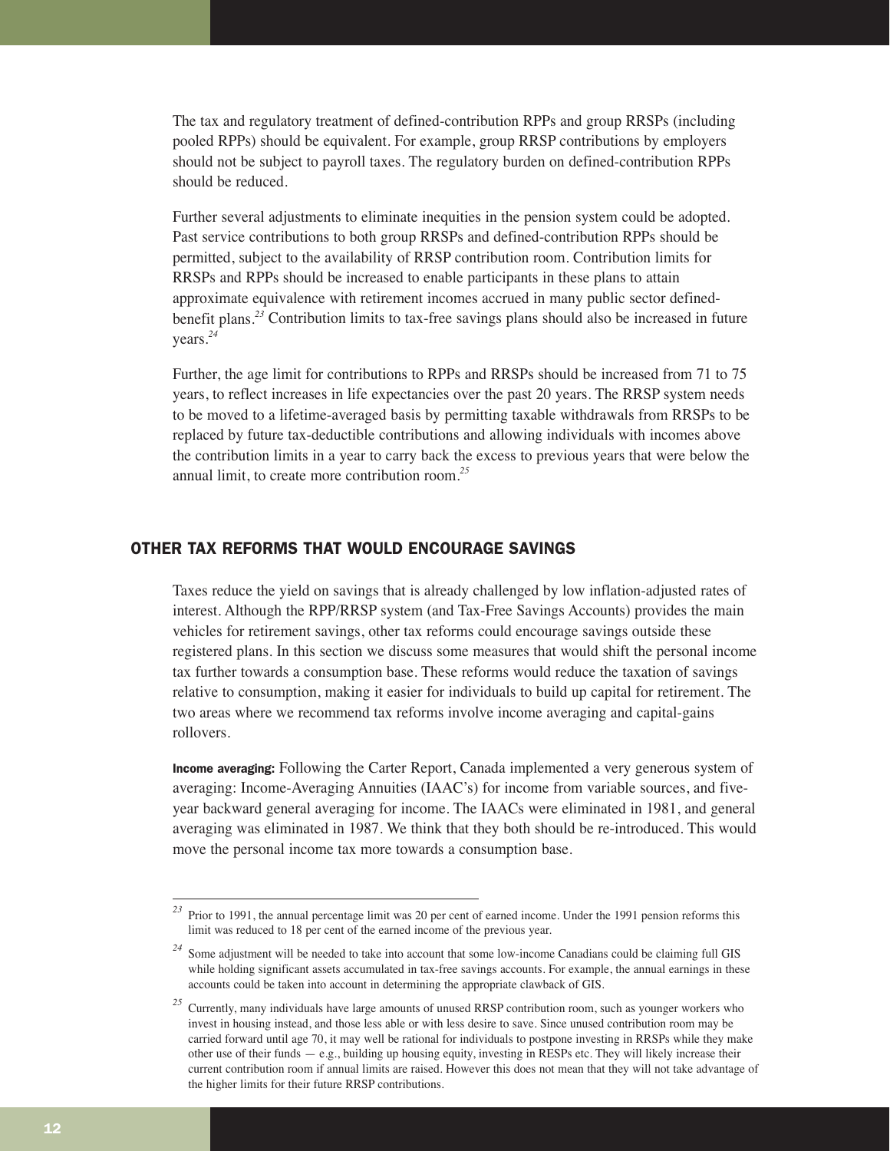The tax and regulatory treatment of defined-contribution RPPs and group RRSPs (including pooled RPPs) should be equivalent. For example, group RRSP contributions by employers should not be subject to payroll taxes. The regulatory burden on defined-contribution RPPs should be reduced.

Further several adjustments to eliminate inequities in the pension system could be adopted. Past service contributions to both group RRSPs and defined-contribution RPPs should be permitted, subject to the availability of RRSP contribution room. Contribution limits for RRSPs and RPPs should be increased to enable participants in these plans to attain approximate equivalence with retirement incomes accrued in many public sector definedbenefit plans.*<sup>23</sup>* Contribution limits to tax-free savings plans should also be increased in future years.*<sup>24</sup>*

Further, the age limit for contributions to RPPs and RRSPs should be increased from 71 to 75 years, to reflect increases in life expectancies over the past 20 years. The RRSP system needs to be moved to a lifetime-averaged basis by permitting taxable withdrawals from RRSPs to be replaced by future tax-deductible contributions and allowing individuals with incomes above the contribution limits in a year to carry back the excess to previous years that were below the annual limit, to create more contribution room.*<sup>25</sup>*

#### OTHER TAX REFORMS THAT WOULD ENCOURAGE SAVINGS

Taxes reduce the yield on savings that is already challenged by low inflation-adjusted rates of interest. Although the RPP/RRSP system (and Tax-Free Savings Accounts) provides the main vehicles for retirement savings, other tax reforms could encourage savings outside these registered plans. In this section we discuss some measures that would shift the personal income tax further towards a consumption base. These reforms would reduce the taxation of savings relative to consumption, making it easier for individuals to build up capital for retirement. The two areas where we recommend tax reforms involve income averaging and capital-gains rollovers.

Income averaging: Following the Carter Report, Canada implemented a very generous system of averaging: Income-Averaging Annuities (IAAC's) for income from variable sources, and fiveyear backward general averaging for income. The IAACs were eliminated in 1981, and general averaging was eliminated in 1987. We think that they both should be re-introduced. This would move the personal income tax more towards a consumption base.

*<sup>23</sup>* Prior to 1991, the annual percentage limit was 20 per cent of earned income. Under the 1991 pension reforms this limit was reduced to 18 per cent of the earned income of the previous year.

<sup>&</sup>lt;sup>24</sup> Some adjustment will be needed to take into account that some low-income Canadians could be claiming full GIS while holding significant assets accumulated in tax-free savings accounts. For example, the annual earnings in these accounts could be taken into account in determining the appropriate clawback of GIS.

*<sup>25</sup>* Currently, many individuals have large amounts of unused RRSP contribution room, such as younger workers who invest in housing instead, and those less able or with less desire to save. Since unused contribution room may be carried forward until age 70, it may well be rational for individuals to postpone investing in RRSPs while they make other use of their funds  $-$  e.g., building up housing equity, investing in RESPs etc. They will likely increase their current contribution room if annual limits are raised. However this does not mean that they will not take advantage of the higher limits for their future RRSP contributions.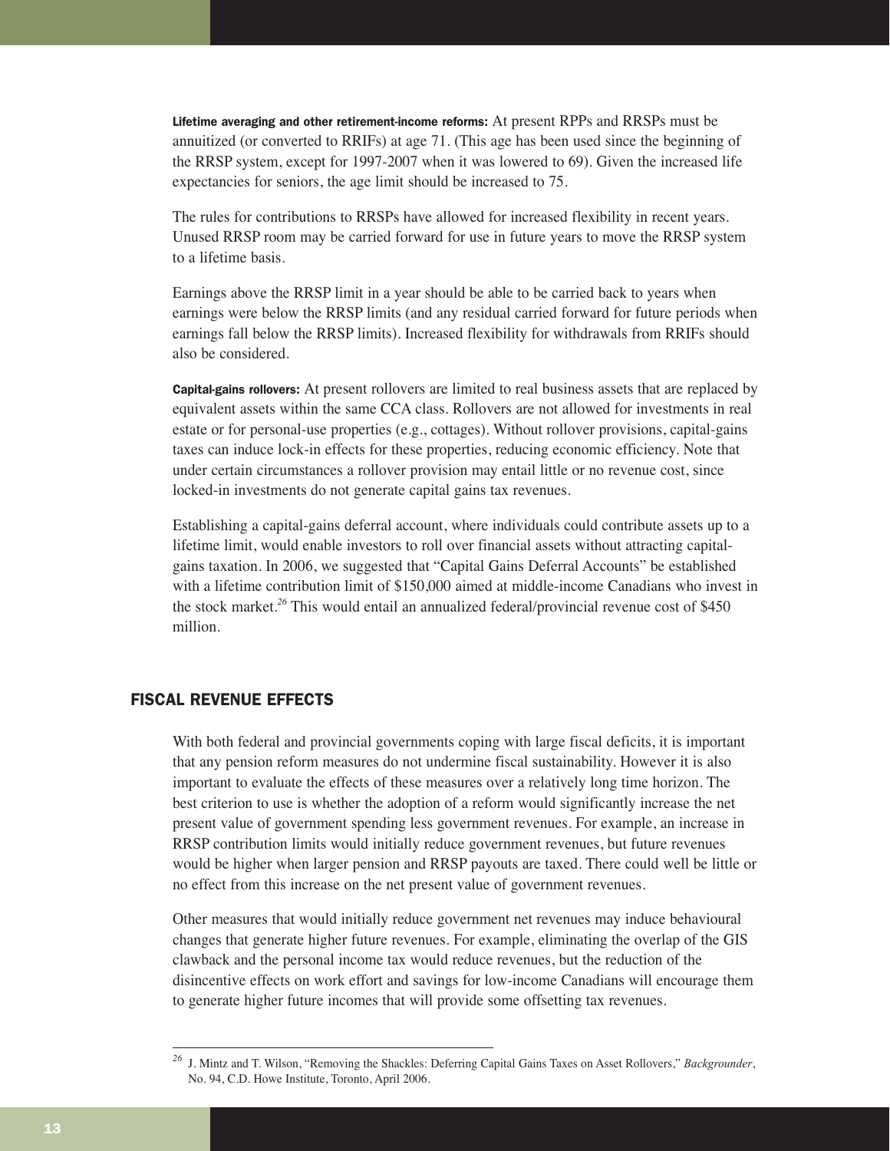Lifetime averaging and other retirement-income reforms: At present RPPs and RRSPs must be annuitized (or converted to RRIFs) at age 71. (This age has been used since the beginning of the RRSP system, except for 1997-2007 when it was lowered to 69). Given the increased life expectancies for seniors, the age limit should be increased to 75.

The rules for contributions to RRSPs have allowed for increased flexibility in recent years. Unused RRSP room may be carried forward for use in future years to move the RRSP system to a lifetime basis.

Earnings above the RRSP limit in a year should be able to be carried back to years when earnings were below the RRSP limits (and any residual carried forward for future periods when earnings fall below the RRSP limits). Increased flexibility for withdrawals from RRIFs should also be considered.

Capital-gains rollovers: At present rollovers are limited to real business assets that are replaced by equivalent assets within the same CCA class. Rollovers are not allowed for investments in real estate or for personal-use properties (e.g., cottages). Without rollover provisions, capital-gains taxes can induce lock-in effects for these properties, reducing economic efficiency. Note that under certain circumstances a rollover provision may entail little or no revenue cost, since locked-in investments do not generate capital gains tax revenues.

Establishing a capital-gains deferral account, where individuals could contribute assets up to a lifetime limit, would enable investors to roll over financial assets without attracting capitalgains taxation. In 2006, we suggested that "Capital Gains Deferral Accounts" be established with a lifetime contribution limit of \$150,000 aimed at middle-income Canadians who invest in the stock market.*<sup>26</sup>* This would entail an annualized federal/provincial revenue cost of \$450 million.

# FISCAL REVENUE EFFECTS

With both federal and provincial governments coping with large fiscal deficits, it is important that any pension reform measures do not undermine fiscal sustainability. However it is also important to evaluate the effects of these measures over a relatively long time horizon. The best criterion to use is whether the adoption of a reform would significantly increase the net present value of government spending less government revenues. For example, an increase in RRSP contribution limits would initially reduce government revenues, but future revenues would be higher when larger pension and RRSP payouts are taxed. There could well be little or no effect from this increase on the net present value of government revenues.

Other measures that would initially reduce government net revenues may induce behavioural changes that generate higher future revenues. For example, eliminating the overlap of the GIS clawback and the personal income tax would reduce revenues, but the reduction of the disincentive effects on work effort and savings for low-income Canadians will encourage them to generate higher future incomes that will provide some offsetting tax revenues.

*<sup>26</sup>* J. Mintz and T. Wilson, "Removing the Shackles: Deferring Capital Gains Taxes on Asset Rollovers," *Backgrounder*, No. 94, C.D. Howe Institute, Toronto, April 2006.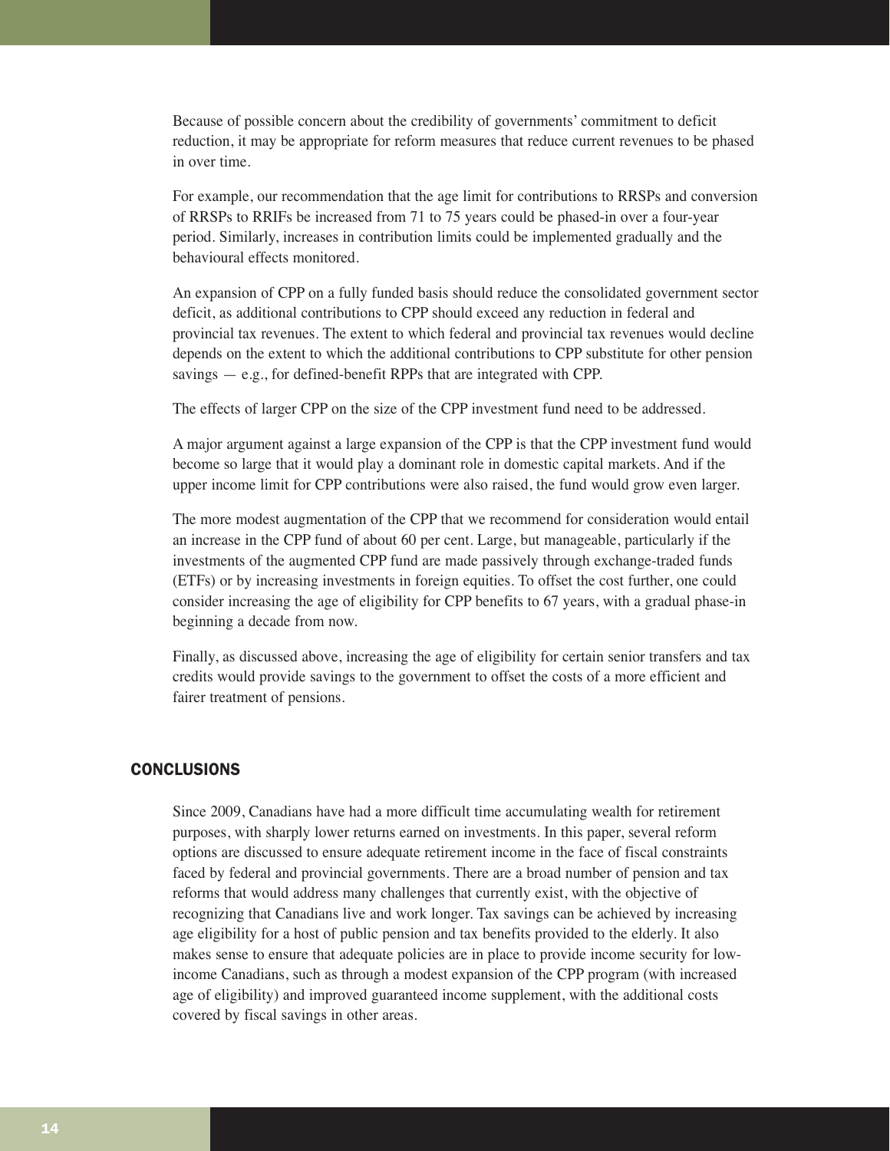Because of possible concern about the credibility of governments' commitment to deficit reduction, it may be appropriate for reform measures that reduce current revenues to be phased in over time.

For example, our recommendation that the age limit for contributions to RRSPs and conversion of RRSPs to RRIFs be increased from 71 to 75 years could be phased-in over a four-year period. Similarly, increases in contribution limits could be implemented gradually and the behavioural effects monitored.

An expansion of CPP on a fully funded basis should reduce the consolidated government sector deficit, as additional contributions to CPP should exceed any reduction in federal and provincial tax revenues. The extent to which federal and provincial tax revenues would decline depends on the extent to which the additional contributions to CPP substitute for other pension savings — e.g., for defined-benefit RPPs that are integrated with CPP.

The effects of larger CPP on the size of the CPP investment fund need to be addressed.

A major argument against a large expansion of the CPP is that the CPP investment fund would become so large that it would play a dominant role in domestic capital markets. And if the upper income limit for CPP contributions were also raised, the fund would grow even larger.

The more modest augmentation of the CPP that we recommend for consideration would entail an increase in the CPP fund of about 60 per cent. Large, but manageable, particularly if the investments of the augmented CPP fund are made passively through exchange-traded funds (ETFs) or by increasing investments in foreign equities. To offset the cost further, one could consider increasing the age of eligibility for CPP benefits to 67 years, with a gradual phase-in beginning a decade from now.

Finally, as discussed above, increasing the age of eligibility for certain senior transfers and tax credits would provide savings to the government to offset the costs of a more efficient and fairer treatment of pensions.

## **CONCLUSIONS**

Since 2009, Canadians have had a more difficult time accumulating wealth for retirement purposes, with sharply lower returns earned on investments. In this paper, several reform options are discussed to ensure adequate retirement income in the face of fiscal constraints faced by federal and provincial governments. There are a broad number of pension and tax reforms that would address many challenges that currently exist, with the objective of recognizing that Canadians live and work longer. Tax savings can be achieved by increasing age eligibility for a host of public pension and tax benefits provided to the elderly. It also makes sense to ensure that adequate policies are in place to provide income security for lowincome Canadians, such as through a modest expansion of the CPP program (with increased age of eligibility) and improved guaranteed income supplement, with the additional costs covered by fiscal savings in other areas.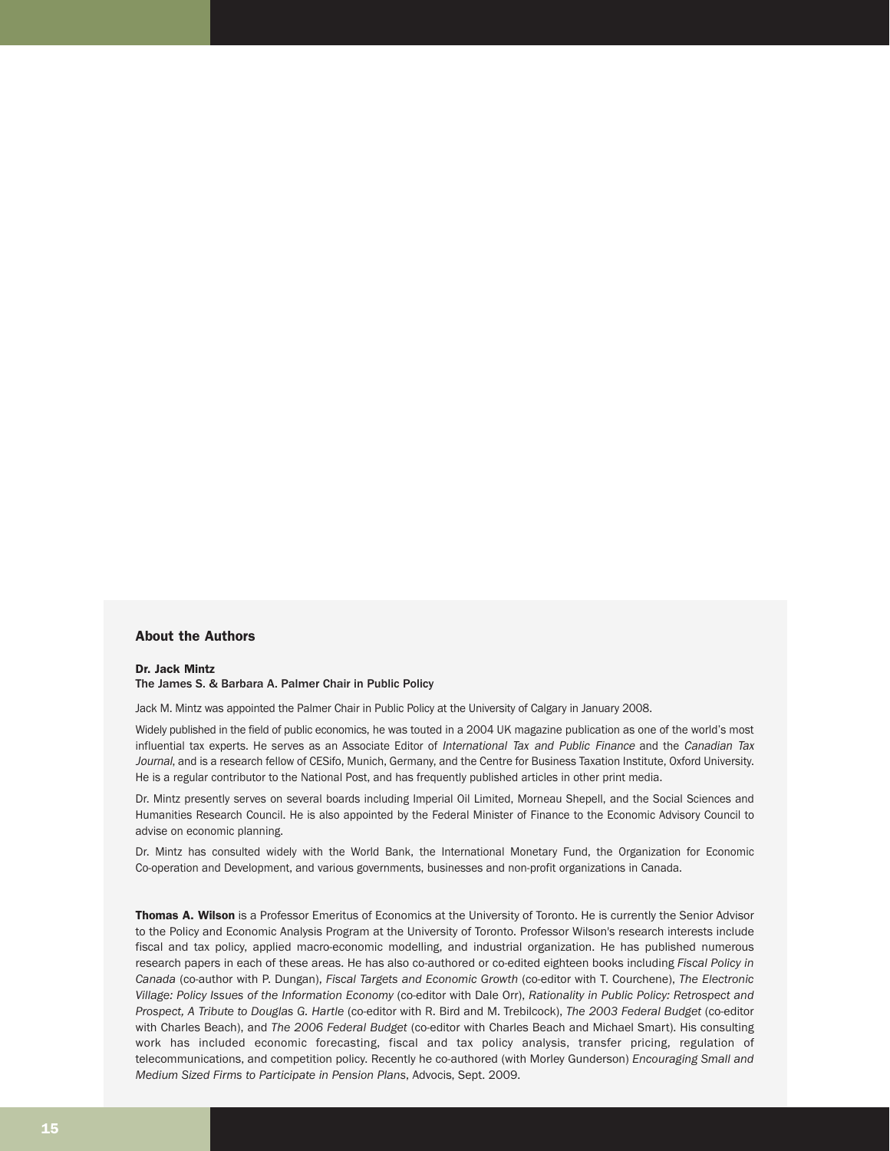#### About the Authors

#### Dr. Jack Mintz The James S. & Barbara A. Palmer Chair in Public Policy

Jack M. Mintz was appointed the Palmer Chair in Public Policy at the University of Calgary in January 2008.

Widely published in the field of public economics, he was touted in a 2004 UK magazine publication as one of the world's most influential tax experts. He serves as an Associate Editor of International Tax and Public Finance and the Canadian Tax Journal, and is a research fellow of CESifo, Munich, Germany, and the Centre for Business Taxation Institute, Oxford University. He is a regular contributor to the National Post, and has frequently published articles in other print media.

Dr. Mintz presently serves on several boards including Imperial Oil Limited, Morneau Shepell, and the Social Sciences and Humanities Research Council. He is also appointed by the Federal Minister of Finance to the Economic Advisory Council to advise on economic planning.

Dr. Mintz has consulted widely with the World Bank, the International Monetary Fund, the Organization for Economic Co-operation and Development, and various governments, businesses and non-profit organizations in Canada.

**Thomas A. Wilson** is a Professor Emeritus of Economics at the University of Toronto. He is currently the Senior Advisor to the Policy and Economic Analysis Program at the University of Toronto. Professor Wilson's research interests include fiscal and tax policy, applied macro-economic modelling, and industrial organization. He has published numerous research papers in each of these areas. He has also co-authored or co-edited eighteen books including *Fiscal Policy in Canada* (co-author with P. Dungan), *Fiscal Targets and Economic Growth* (co-editor with T. Courchene), *The Electronic Village: Policy Issues of the Information Economy* (co-editor with Dale Orr), *Rationality in Public Policy: Retrospect and Prospect, A Tribute to Douglas G. Hartle* (co-editor with R. Bird and M. Trebilcock), *The 2003 Federal Budget* (co-editor with Charles Beach), and *The 2006 Federal Budget* (co-editor with Charles Beach and Michael Smart). His consulting work has included economic forecasting, fiscal and tax policy analysis, transfer pricing, regulation of telecommunications, and competition policy. Recently he co-authored (with Morley Gunderson) *Encouraging Small and Medium Sized Firms to Participate in Pension Plans*, Advocis, Sept. 2009.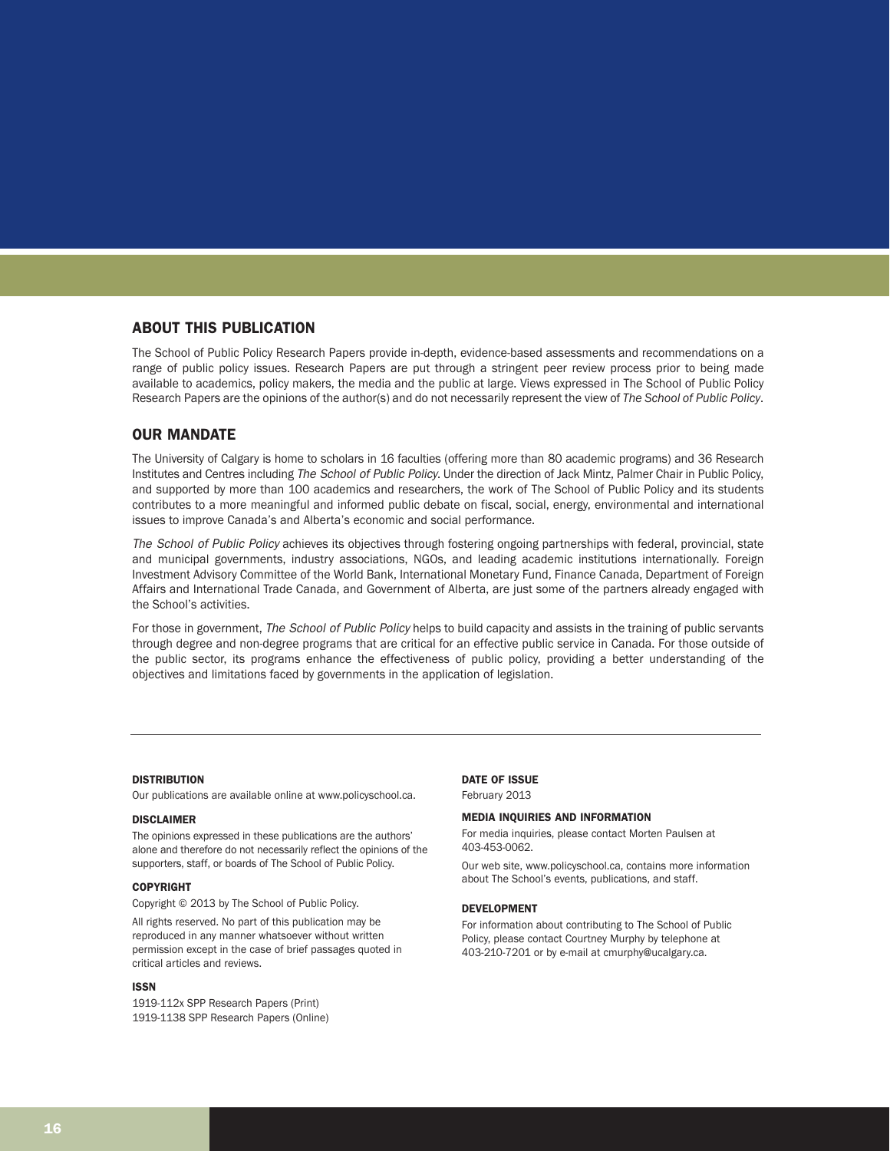#### ABOUT THIS PUBLICATION

The School of Public Policy Research Papers provide in-depth, evidence-based assessments and recommendations on a range of public policy issues. Research Papers are put through a stringent peer review process prior to being made available to academics, policy makers, the media and the public at large. Views expressed in The School of Public Policy Research Papers are the opinions of the author(s) and do not necessarily represent the view of *The School of Public Policy*.

#### OUR MANDATE

The University of Calgary is home to scholars in 16 faculties (offering more than 80 academic programs) and 36 Research Institutes and Centres including The School of Public Policy. Under the direction of Jack Mintz, Palmer Chair in Public Policy, and supported by more than 100 academics and researchers, the work of The School of Public Policy and its students contributes to a more meaningful and informed public debate on fiscal, social, energy, environmental and international issues to improve Canada's and Alberta's economic and social performance.

The School of Public Policy achieves its objectives through fostering ongoing partnerships with federal, provincial, state and municipal governments, industry associations, NGOs, and leading academic institutions internationally. Foreign Investment Advisory Committee of the World Bank, International Monetary Fund, Finance Canada, Department of Foreign Affairs and International Trade Canada, and Government of Alberta, are just some of the partners already engaged with the School's activities.

For those in government, The School of Public Policy helps to build capacity and assists in the training of public servants through degree and non-degree programs that are critical for an effective public service in Canada. For those outside of the public sector, its programs enhance the effectiveness of public policy, providing a better understanding of the objectives and limitations faced by governments in the application of legislation.

#### **DISTRIBUTION**

Our publications are available online at www.policyschool.ca.

#### DISCLAIMER

The opinions expressed in these publications are the authors' alone and therefore do not necessarily reflect the opinions of the supporters, staff, or boards of The School of Public Policy.

#### COPYRIGHT

Copyright © 2013 by The School of Public Policy.

All rights reserved. No part of this publication may be reproduced in any manner whatsoever without written permission except in the case of brief passages quoted in critical articles and reviews.

#### ISSN

1919-112x SPP Research Papers (Print) 1919-1138 SPP Research Papers (Online)

#### DATE OF ISSUE

February 2013

#### MEDIA INQUIRIES AND INFORMATION

For media inquiries, please contact Morten Paulsen at 403-453-0062.

Our web site, www.policyschool.ca, contains more information about The School's events, publications, and staff.

#### DEVELOPMENT

For information about contributing to The School of Public Policy, please contact Courtney Murphy by telephone at 403-210-7201 or by e-mail at cmurphy@ucalgary.ca.